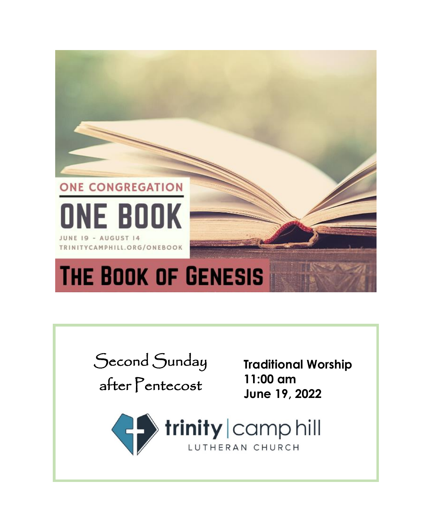

| Second Sunday<br>after Pentecost | <b>Traditional Worship</b><br>$11:00$ am<br>June 19, 2022 |
|----------------------------------|-----------------------------------------------------------|
| LUTHERAN CHURCH                  |                                                           |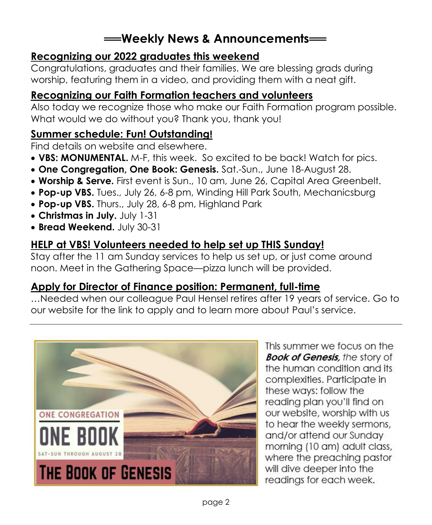# **══Weekly News & Announcements══**

## **Recognizing our 2022 graduates this weekend**

Congratulations, graduates and their families. We are blessing grads during worship, featuring them in a video, and providing them with a neat gift.

# **Recognizing our Faith Formation teachers and volunteers**

Also today we recognize those who make our Faith Formation program possible. What would we do without you? Thank you, thank you!

# **Summer schedule: Fun! Outstanding!**

Find details on website and elsewhere.

- **VBS: MONUMENTAL.** M-F, this week. So excited to be back! Watch for pics.
- **One Congregation, One Book: Genesis.** Sat.-Sun., June 18-August 28.
- **Worship & Serve.** First event is Sun., 10 am, June 26, Capital Area Greenbelt.
- **Pop-up VBS.** Tues., July 26, 6-8 pm, Winding Hill Park South, Mechanicsburg
- **Pop-up VBS.** Thurs., July 28, 6-8 pm, Highland Park
- **Christmas in July.** July 1-31
- **Bread Weekend.** July 30-31

# **HELP at VBS! Volunteers needed to help set up THIS Sunday!**

Stay after the 11 am Sunday services to help us set up, or just come around noon. Meet in the Gathering Space—pizza lunch will be provided.

# **Apply for Director of Finance position: Permanent, full-time**

…Needed when our colleague Paul Hensel retires after 19 years of service. Go to our website for the link to apply and to learn more about Paul's service.



This summer we focus on the **Book of Genesis**, the story of the human condition and its complexities. Participate in these ways: follow the reading plan you'll find on our website, worship with us to hear the weekly sermons, and/or attend our Sunday morning (10 am) adult class, where the preaching pastor will dive deeper into the readings for each week.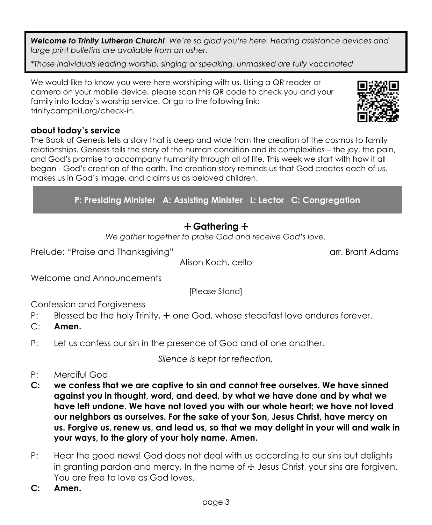*Welcome to Trinity Lutheran Church! We're so glad you're here. Hearing assistance devices and large print bulletins are available from an usher.* 

*\*Those individuals leading worship, singing or speaking, unmasked are fully vaccinated*

We would like to know you were here worshiping with us. Using a QR reader or camera on your mobile device, please scan this QR code to check you and your family into today's worship service. Or go to the following link: trinitycamphill.org/check-in.

## **about today's service**

The Book of Genesis tells a story that is deep and wide from the creation of the cosmos to family relationships. Genesis tells the story of the human condition and its complexities – the joy, the pain, and God's promise to accompany humanity through all of life. This week we start with how it all began - God's creation of the earth. The creation story reminds us that God creates each of us, makes us in God's image, and claims us as beloved children.

**P: Presiding Minister A: Assisting Minister L: Lector C: Congregation**

# + **Gathering** +

*We gather together to praise God and receive God's love.*

Prelude: "Praise and Thanksgiving" arr. Brant Adams arr. Brant Adams

Alison Koch, cello

Welcome and Announcements

[Please Stand]

Confession and Forgiveness

- P: Blessed be the holy Trinity,  $\pm$  one God, whose steadfast love endures forever.
- C: **Amen.**
- P: Let us confess our sin in the presence of God and of one another.

*Silence is kept for reflection.*

- P: Merciful God,
- **C: we confess that we are captive to sin and cannot free ourselves. We have sinned against you in thought, word, and deed, by what we have done and by what we have left undone. We have not loved you with our whole heart; we have not loved our neighbors as ourselves. For the sake of your Son, Jesus Christ, have mercy on us. Forgive us, renew us, and lead us, so that we may delight in your will and walk in your ways, to the glory of your holy name. Amen.**
- P: Hear the good news! God does not deal with us according to our sins but delights in granting pardon and mercy. In the name of  $\pm$  Jesus Christ, your sins are forgiven. You are free to love as God loves.
- **C: Amen.**

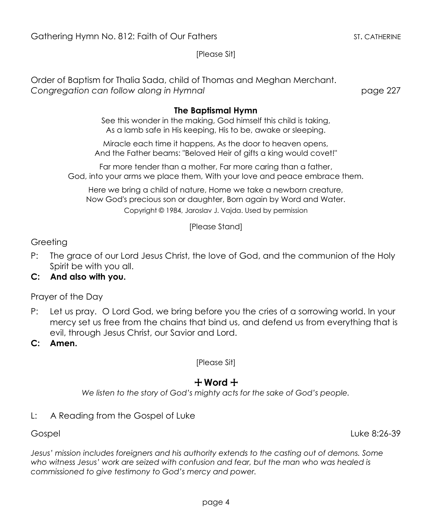[Please Sit]

Order of Baptism for Thalia Sada, child of Thomas and Meghan Merchant. *Congregation can follow along in Hymnal* page 227

#### **The Baptismal Hymn**

See this wonder in the making, God himself this child is taking, As a lamb safe in His keeping, His to be, awake or sleeping.

Miracle each time it happens, As the door to heaven opens, And the Father beams: "Beloved Heir of gifts a king would covet!"

Far more tender than a mother, Far more caring than a father, God, into your arms we place them, With your love and peace embrace them.

Here we bring a child of nature, Home we take a newborn creature, Now God's precious son or daughter, Born again by Word and Water. Copyright © 1984, Jaroslav J. Vajda. Used by permission

[Please Stand]

#### **Greeting**

- P: The grace of our Lord Jesus Christ, the love of God, and the communion of the Holy Spirit be with you all.
- **C: And also with you.**

Prayer of the Day

- P: Let us pray. O Lord God, we bring before you the cries of a sorrowing world. In your mercy set us free from the chains that bind us, and defend us from everything that is evil, through Jesus Christ, our Savior and Lord.
- **C: Amen.**

[Please Sit]

## + **Word** +

*We listen to the story of God's mighty acts for the sake of God's people.*

L: A Reading from the Gospel of Luke

Gospel Luke 8:26-39

*Jesus' mission includes foreigners and his authority extends to the casting out of demons. Some who witness Jesus' work are seized with confusion and fear, but the man who was healed is commissioned to give testimony to God's mercy and power.*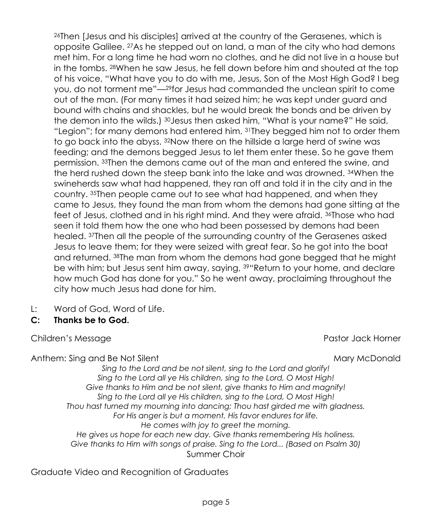<sup>26</sup>Then [Jesus and his disciples] arrived at the country of the Gerasenes, which is opposite Galilee. <sup>27</sup>As he stepped out on land, a man of the city who had demons met him. For a long time he had worn no clothes, and he did not live in a house but in the tombs. <sup>28</sup>When he saw Jesus, he fell down before him and shouted at the top of his voice, "What have you to do with me, Jesus, Son of the Most High God? I beg you, do not torment me"—29for Jesus had commanded the unclean spirit to come out of the man. (For many times it had seized him; he was kept under guard and bound with chains and shackles, but he would break the bonds and be driven by the demon into the wilds.) 30 Jesus then asked him, "What is your name?" He said, "Legion"; for many demons had entered him. 31They begged him not to order them to go back into the abyss. <sup>32</sup>Now there on the hillside a large herd of swine was feeding; and the demons begged Jesus to let them enter these. So he gave them permission. <sup>33</sup>Then the demons came out of the man and entered the swine, and the herd rushed down the steep bank into the lake and was drowned. <sup>34</sup>When the swineherds saw what had happened, they ran off and told it in the city and in the country. <sup>35</sup>Then people came out to see what had happened, and when they came to Jesus, they found the man from whom the demons had gone sitting at the feet of Jesus, clothed and in his right mind. And they were afraid. <sup>36</sup>Those who had seen it told them how the one who had been possessed by demons had been healed. <sup>37</sup>Then all the people of the surrounding country of the Gerasenes asked Jesus to leave them; for they were seized with great fear. So he got into the boat and returned. <sup>38</sup>The man from whom the demons had gone begged that he might be with him; but Jesus sent him away, saying,  $39$ <sup>th</sup> Return to your home, and declare how much God has done for you." So he went away, proclaiming throughout the city how much Jesus had done for him.

- L: Word of God, Word of Life.
- **C: Thanks be to God.**

Children's Message **Pastor Jack Horner** Pastor Jack Horner

Anthem: Sing and Be Not Silent Mary Mary Mary McDonald

*Sing to the Lord and be not silent, sing to the Lord and glorify! Sing to the Lord all ye His children, sing to the Lord, O Most High! Give thanks to Him and be not silent, give thanks to Him and magnify! Sing to the Lord all ye His children, sing to the Lord, O Most High! Thou hast turned my mourning into dancing; Thou hast girded me with gladness. For His anger is but a moment, His favor endures for life. He comes with joy to greet the morning. He gives us hope for each new day. Give thanks remembering His holiness. Give thanks to Him with songs of praise. Sing to the Lord... (Based on Psalm 30)* Summer Choir

Graduate Video and Recognition of Graduates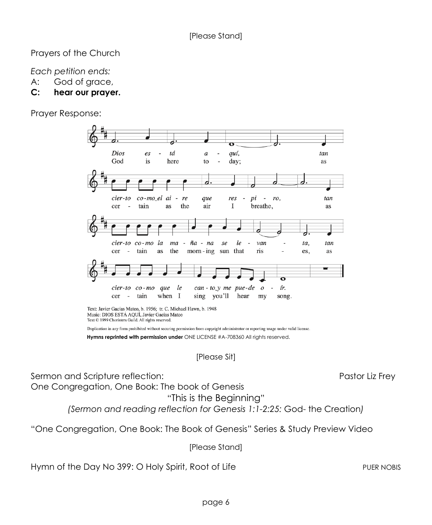Prayers of the Church

*Each petition ends:*

- A: God of grace,
- **C: hear our prayer.**

Prayer Response:



Duplication in any form prohibited without securing permission from copyright administrator or reporting usage under valid license.  **Hymns reprinted with permission under** ONE LICENSE #A-708360 All rights reserved.

[Please Sit]

Sermon and Scripture reflection: etc. Pastor Liz Frey

"This is the Beginning" *(Sermon and reading reflection for Genesis 1:1-2:25:* God- the Creation*)*

"One Congregation, One Book: The Book of Genesis" Series & Study Preview Video

[Please Stand]

Hymn of the Day No 399: O Holy Spirit, Root of Life PUER NOBIS

One Congregation, One Book: The book of Genesis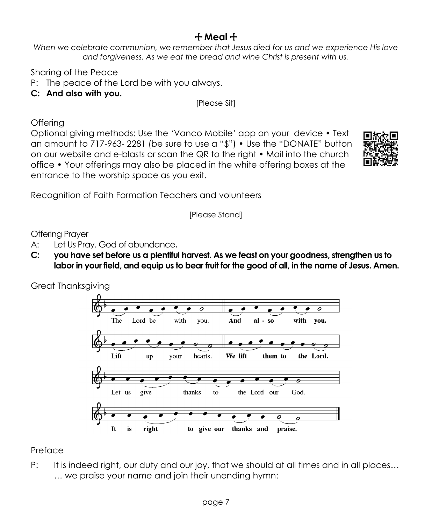# + **Meal** +

*When we celebrate communion, we remember that Jesus died for us and we experience His love and forgiveness. As we eat the bread and wine Christ is present with us.*

Sharing of the Peace

- P: The peace of the Lord be with you always.
- **C: And also with you.**

[Please Sit]

**Offering** 

Optional giving methods: Use the 'Vanco Mobile' app on your device • Text an amount to 717-963- 2281 (be sure to use a "\$") • Use the "DONATE" button on our website and e-blasts or scan the QR to the right • Mail into the church office • Your offerings may also be placed in the white offering boxes at the entrance to the worship space as you exit.



Recognition of Faith Formation Teachers and volunteers

[Please Stand]

Offering Prayer

- A: Let Us Pray. God of abundance,
- **C: you have set before us a plentiful harvest. As we feast on your goodness, strengthen us to labor in your field, and equip us to bear fruit for the good of all, in the name of Jesus. Amen.**

Great Thanksgiving



**Preface** 

P: It is indeed right, our duty and our joy, that we should at all times and in all places… … we praise your name and join their unending hymn: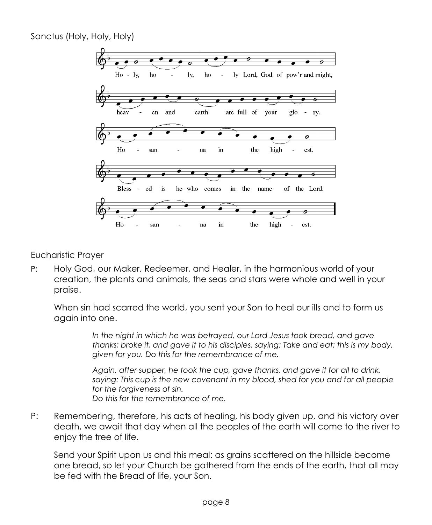Sanctus (Holy, Holy, Holy)



#### Eucharistic Prayer

P: Holy God, our Maker, Redeemer, and Healer, in the harmonious world of your creation, the plants and animals, the seas and stars were whole and well in your praise.

When sin had scarred the world, you sent your Son to heal our ills and to form us again into one.

> *In the night in which he was betrayed, our Lord Jesus took bread, and gave thanks; broke it, and gave it to his disciples, saying: Take and eat; this is my body, given for you. Do this for the remembrance of me.*

> *Again, after supper, he took the cup, gave thanks, and gave it for all to drink, saying: This cup is the new covenant in my blood, shed for you and for all people for the forgiveness of sin. Do this for the remembrance of me.*

P: Remembering, therefore, his acts of healing, his body given up, and his victory over death, we await that day when all the peoples of the earth will come to the river to enjoy the tree of life.

Send your Spirit upon us and this meal: as grains scattered on the hillside become one bread, so let your Church be gathered from the ends of the earth, that all may be fed with the Bread of life, your Son.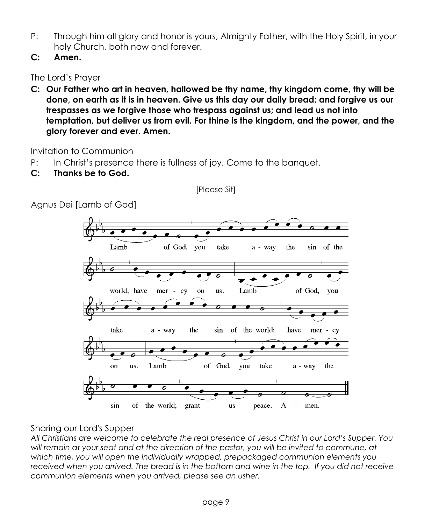- P: Through him all glory and honor is yours, Almighty Father, with the Holy Spirit, in your holy Church, both now and forever.
- **C: Amen.**

The Lord's Prayer

**C: Our Father who art in heaven, hallowed be thy name, thy kingdom come, thy will be done, on earth as it is in heaven. Give us this day our daily bread; and forgive us our trespasses as we forgive those who trespass against us; and lead us not into temptation, but deliver us from evil. For thine is the kingdom, and the power, and the glory forever and ever. Amen.**

Invitation to Communion

- P: In Christ's presence there is fullness of joy. Come to the banquet.
- **C: Thanks be to God.**

Agnus Dei [Lamb of God]

[Please Sit]



## Sharing our Lord's Supper

*All Christians are welcome to celebrate the real presence of Jesus Christ in our Lord's Supper. You will remain at your seat and at the direction of the pastor, you will be invited to commune, at which time, you will open the individually wrapped, prepackaged communion elements you received when you arrived. The bread is in the bottom and wine in the top. If you did not receive communion elements when you arrived, please see an usher.*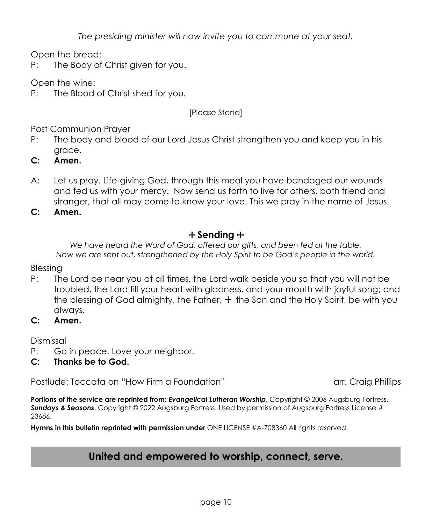*The presiding minister will now invite you to commune at your seat.*

Open the bread:

P: The Body of Christ given for you.

Open the wine:

P: The Blood of Christ shed for you.

#### [Please Stand]

Post Communion Prayer

- P: The body and blood of our Lord Jesus Christ strengthen you and keep you in his grace.
- **C: Amen.**
- A: Let us pray. Life-giving God, through this meal you have bandaged our wounds and fed us with your mercy. Now send us forth to live for others, both friend and stranger, that all may come to know your love. This we pray in the name of Jesus.

**C: Amen.**

## + **Sending** +

*We have heard the Word of God, offered our gifts, and been fed at the table. Now we are sent out, strengthened by the Holy Spirit to be God's people in the world.*

Blessing

- P: The Lord be near you at all times, the Lord walk beside you so that you will not be troubled, the Lord fill your heart with gladness, and your mouth with joyful song; and the blessing of God almighty, the Father,  $+$  the Son and the Holy Spirit, be with you always.
- **C: Amen.**

Dismissal

- P: Go in peace. Love your neighbor.
- **C: Thanks be to God.**

Postlude: Toccata on "How Firm a Foundation" arr. Craig Phillips

Portions of the service are reprinted from: *Evangelical Lutheran Worship*, Copyright @ 2006 Augsburg Fortress. *Sundays & Seasons*, Copyright © 2022 Augsburg Fortress. Used by permission of Augsburg Fortress License # 23686.

**Hymns in this bulletin reprinted with permission under** ONE LICENSE #A-708360 All rights reserved.

# **United and empowered to worship, connect, serve.**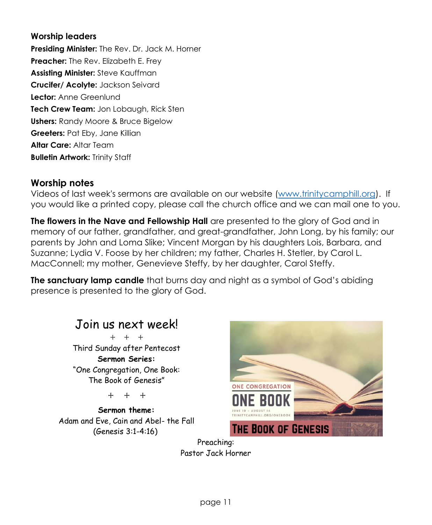#### **Worship leaders**

**Presiding Minister:** The Rev. Dr. Jack M. Horner **Preacher:** The Rev. Elizabeth E. Frey **Assisting Minister:** Steve Kauffman **Crucifer/ Acolyte:** Jackson Seivard **Lector:** Anne Greenlund **Tech Crew Team:** Jon Lobaugh, Rick Sten **Ushers:** Randy Moore & Bruce Bigelow **Greeters:** Pat Eby, Jane Killian **Altar Care:** Altar Team **Bulletin Artwork:** Trinity Staff

#### **Worship notes**

Videos of last week's sermons are available on our website [\(www.trinitycamphill.org\)](http://www.trinitycamphill.org/). If you would like a printed copy, please call the church office and we can mail one to you.

**The flowers in the Nave and Fellowship Hall** are presented to the glory of God and in memory of our father, grandfather, and great-grandfather, John Long, by his family; our parents by John and Loma Slike; Vincent Morgan by his daughters Lois, Barbara, and Suzanne; Lydia V. Foose by her children; my father, Charles H. Stetler, by Carol L. MacConnell; my mother, Genevieve Steffy, by her daughter, Carol Steffy.

**The sanctuary lamp candle** that burns day and night as a symbol of God's abiding presence is presented to the glory of God.



**Sermon theme:** Adam and Eve, Cain and Abel- the Fall (Genesis 3:1-4:16)



Preaching: Pastor Jack Horner